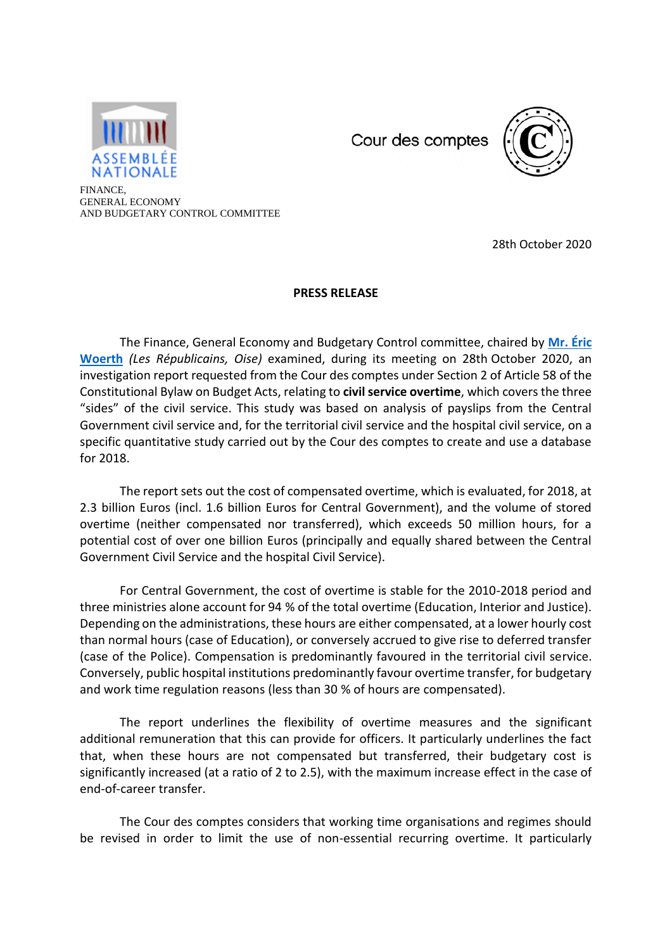

Cour des comptes



FINANCE, GENERAL ECONOMY AND BUDGETARY CONTROL COMMITTEE

28th October 2020

## **PRESS RELEASE**

The Finance, General Economy and Budgetary Control committee, chaired by **[Mr. Éric](http://www2.assemblee-nationale.fr/deputes/fiche/OMC_PA2960)  [Woerth](http://www2.assemblee-nationale.fr/deputes/fiche/OMC_PA2960)** *(Les Républicains, Oise)* examined, during its meeting on 28th October 2020, an investigation report requested from the Cour des comptes under Section 2 of Article 58 of the Constitutional Bylaw on Budget Acts, relating to **civil service overtime**, which covers the three "sides" of the civil service. This study was based on analysis of payslips from the Central Government civil service and, for the territorial civil service and the hospital civil service, on a specific quantitative study carried out by the Cour des comptes to create and use a database for 2018.

The report sets out the cost of compensated overtime, which is evaluated, for 2018, at 2.3 billion Euros (incl. 1.6 billion Euros for Central Government), and the volume of stored overtime (neither compensated nor transferred), which exceeds 50 million hours, for a potential cost of over one billion Euros (principally and equally shared between the Central Government Civil Service and the hospital Civil Service).

For Central Government, the cost of overtime is stable for the 2010-2018 period and three ministries alone account for 94 % of the total overtime (Education, Interior and Justice). Depending on the administrations, these hours are either compensated, at a lower hourly cost than normal hours (case of Education), or conversely accrued to give rise to deferred transfer (case of the Police). Compensation is predominantly favoured in the territorial civil service. Conversely, public hospital institutions predominantly favour overtime transfer, for budgetary and work time regulation reasons (less than 30 % of hours are compensated).

The report underlines the flexibility of overtime measures and the significant additional remuneration that this can provide for officers. It particularly underlines the fact that, when these hours are not compensated but transferred, their budgetary cost is significantly increased (at a ratio of 2 to 2.5), with the maximum increase effect in the case of end-of-career transfer.

The Cour des comptes considers that working time organisations and regimes should be revised in order to limit the use of non-essential recurring overtime. It particularly